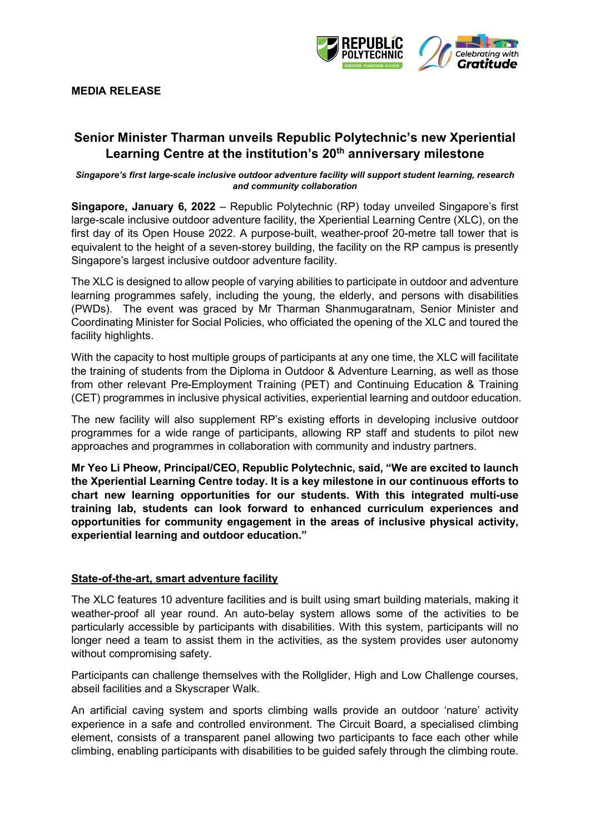

#### **MEDIA RELEASE**

### **Senior Minister Tharman unveils Republic Polytechnic's new Xperiential Learning Centre at the institution's 20th anniversary milestone**

#### *Singapore's first large-scale inclusive outdoor adventure facility will support student learning, research and community collaboration*

**Singapore, January 6, 2022** – Republic Polytechnic (RP) today unveiled Singapore's first large-scale inclusive outdoor adventure facility, the Xperiential Learning Centre (XLC), on the first day of its Open House 2022. A purpose-built, weather-proof 20-metre tall tower that is equivalent to the height of a seven-storey building, the facility on the RP campus is presently Singapore's largest inclusive outdoor adventure facility.

The XLC is designed to allow people of varying abilities to participate in outdoor and adventure learning programmes safely, including the young, the elderly, and persons with disabilities (PWDs). The event was graced by Mr Tharman Shanmugaratnam, Senior Minister and Coordinating Minister for Social Policies, who officiated the opening of the XLC and toured the facility highlights.

With the capacity to host multiple groups of participants at any one time, the XLC will facilitate the training of students from the Diploma in Outdoor & Adventure Learning, as well as those from other relevant Pre-Employment Training (PET) and Continuing Education & Training (CET) programmes in inclusive physical activities, experiential learning and outdoor education.

The new facility will also supplement RP's existing efforts in developing inclusive outdoor programmes for a wide range of participants, allowing RP staff and students to pilot new approaches and programmes in collaboration with community and industry partners.

**Mr Yeo Li Pheow, Principal/CEO, Republic Polytechnic, said, "We are excited to launch the Xperiential Learning Centre today. It is a key milestone in our continuous efforts to chart new learning opportunities for our students. With this integrated multi-use training lab, students can look forward to enhanced curriculum experiences and opportunities for community engagement in the areas of inclusive physical activity, experiential learning and outdoor education."**

#### **State-of-the-art, smart adventure facility**

The XLC features 10 adventure facilities and is built using smart building materials, making it weather-proof all year round. An auto-belay system allows some of the activities to be particularly accessible by participants with disabilities. With this system, participants will no longer need a team to assist them in the activities, as the system provides user autonomy without compromising safety.

Participants can challenge themselves with the Rollglider, High and Low Challenge courses, abseil facilities and a Skyscraper Walk.

An artificial caving system and sports climbing walls provide an outdoor 'nature' activity experience in a safe and controlled environment. The Circuit Board, a specialised climbing element, consists of a transparent panel allowing two participants to face each other while climbing, enabling participants with disabilities to be guided safely through the climbing route.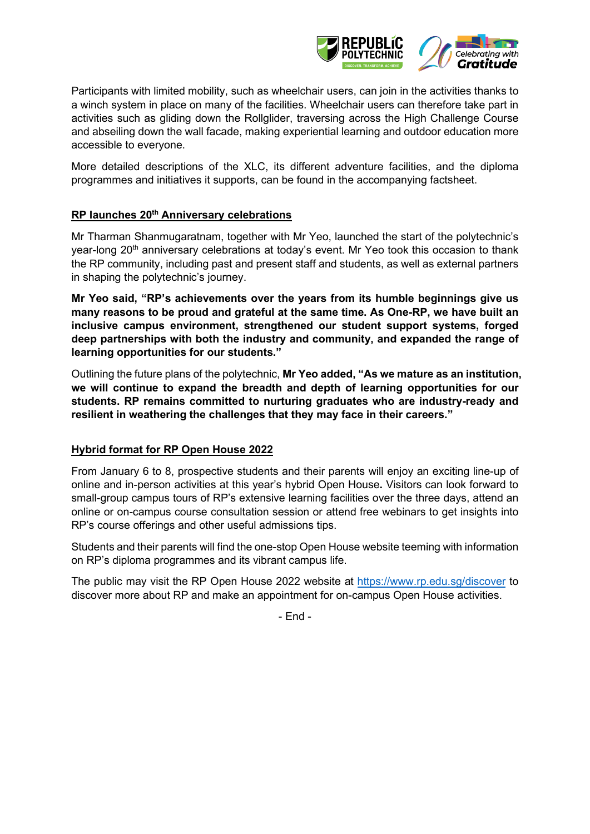

Participants with limited mobility, such as wheelchair users, can join in the activities thanks to a winch system in place on many of the facilities. Wheelchair users can therefore take part in activities such as gliding down the Rollglider, traversing across the High Challenge Course and abseiling down the wall facade, making experiential learning and outdoor education more accessible to everyone.

More detailed descriptions of the XLC, its different adventure facilities, and the diploma programmes and initiatives it supports, can be found in the accompanying factsheet.

### **RP launches 20th Anniversary celebrations**

Mr Tharman Shanmugaratnam, together with Mr Yeo, launched the start of the polytechnic's year-long 20<sup>th</sup> anniversary celebrations at today's event. Mr Yeo took this occasion to thank the RP community, including past and present staff and students, as well as external partners in shaping the polytechnic's journey.

**Mr Yeo said, "RP's achievements over the years from its humble beginnings give us many reasons to be proud and grateful at the same time. As One-RP, we have built an inclusive campus environment, strengthened our student support systems, forged deep partnerships with both the industry and community, and expanded the range of learning opportunities for our students."**

Outlining the future plans of the polytechnic, **Mr Yeo added, "As we mature as an institution, we will continue to expand the breadth and depth of learning opportunities for our students. RP remains committed to nurturing graduates who are industry-ready and resilient in weathering the challenges that they may face in their careers."**

#### **Hybrid format for RP Open House 2022**

From January 6 to 8, prospective students and their parents will enjoy an exciting line-up of online and in-person activities at this year's hybrid Open House**.** Visitors can look forward to small-group campus tours of RP's extensive learning facilities over the three days, attend an online or on-campus course consultation session or attend free webinars to get insights into RP's course offerings and other useful admissions tips.

Students and their parents will find the one-stop Open House website teeming with information on RP's diploma programmes and its vibrant campus life.

The public may visit the RP Open House 2022 website at <https://www.rp.edu.sg/discover> to discover more about RP and make an appointment for on-campus Open House activities.

- End -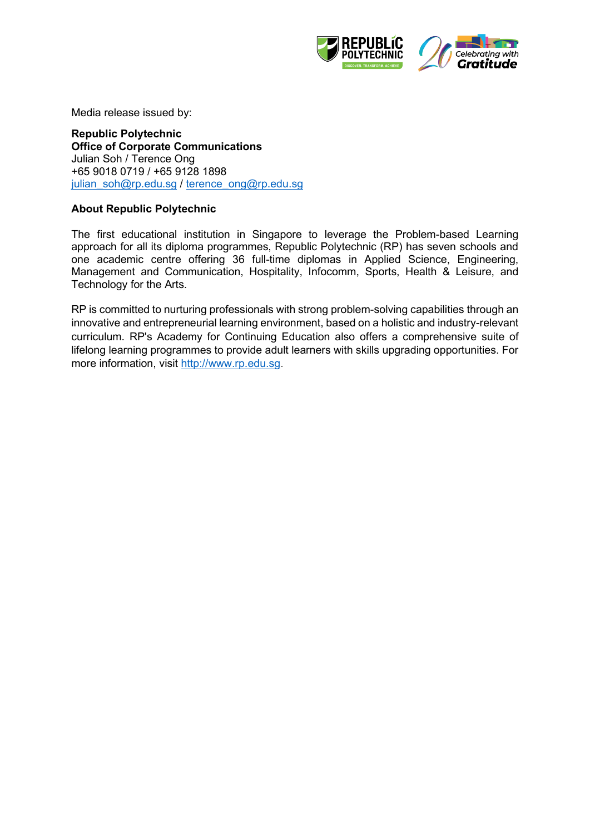



Media release issued by:

**Republic Polytechnic Office of Corporate Communications**  Julian Soh / Terence Ong +65 9018 0719 / +65 9128 1898 [julian\\_soh@rp.edu.sg](mailto:julian_soh@rp.edu.sg) / [terence\\_ong@rp.edu.sg](mailto:terence_ong@rp.edu.sg)

### **About Republic Polytechnic**

The first educational institution in Singapore to leverage the Problem-based Learning approach for all its diploma programmes, Republic Polytechnic (RP) has seven schools and one academic centre offering 36 full-time diplomas in Applied Science, Engineering, Management and Communication, Hospitality, Infocomm, Sports, Health & Leisure, and Technology for the Arts.

RP is committed to nurturing professionals with strong problem-solving capabilities through an innovative and entrepreneurial learning environment, based on a holistic and industry-relevant curriculum. RP's Academy for Continuing Education also offers a comprehensive suite of lifelong learning programmes to provide adult learners with skills upgrading opportunities. For more information, visit [http://www.rp.edu.sg.](http://www.rp.edu.sg/)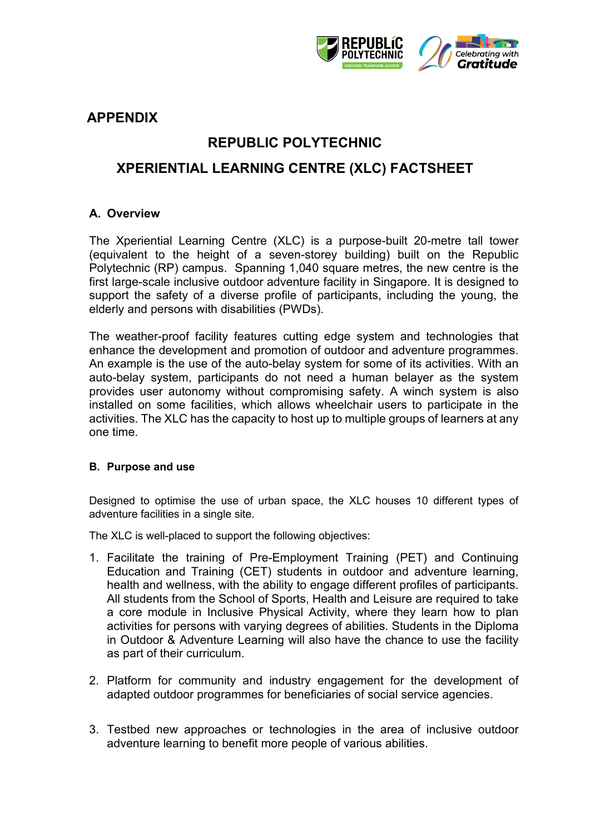

## **APPENDIX**

## **REPUBLIC POLYTECHNIC**

### **XPERIENTIAL LEARNING CENTRE (XLC) FACTSHEET**

### **A. Overview**

The Xperiential Learning Centre (XLC) is a purpose-built 20-metre tall tower (equivalent to the height of a seven-storey building) built on the Republic Polytechnic (RP) campus. Spanning 1,040 square metres, the new centre is the first large-scale inclusive outdoor adventure facility in Singapore. It is designed to support the safety of a diverse profile of participants, including the young, the elderly and persons with disabilities (PWDs).

The weather-proof facility features cutting edge system and technologies that enhance the development and promotion of outdoor and adventure programmes. An example is the use of the auto-belay system for some of its activities. With an auto-belay system, participants do not need a human belayer as the system provides user autonomy without compromising safety. A winch system is also installed on some facilities, which allows wheelchair users to participate in the activities. The XLC has the capacity to host up to multiple groups of learners at any one time.

#### **B. Purpose and use**

Designed to optimise the use of urban space, the XLC houses 10 different types of adventure facilities in a single site.

The XLC is well-placed to support the following objectives:

- 1. Facilitate the training of Pre-Employment Training (PET) and Continuing Education and Training (CET) students in outdoor and adventure learning, health and wellness, with the ability to engage different profiles of participants. All students from the School of Sports, Health and Leisure are required to take a core module in Inclusive Physical Activity, where they learn how to plan activities for persons with varying degrees of abilities. Students in the Diploma in Outdoor & Adventure Learning will also have the chance to use the facility as part of their curriculum.
- 2. Platform for community and industry engagement for the development of adapted outdoor programmes for beneficiaries of social service agencies.
- 3. Testbed new approaches or technologies in the area of inclusive outdoor adventure learning to benefit more people of various abilities.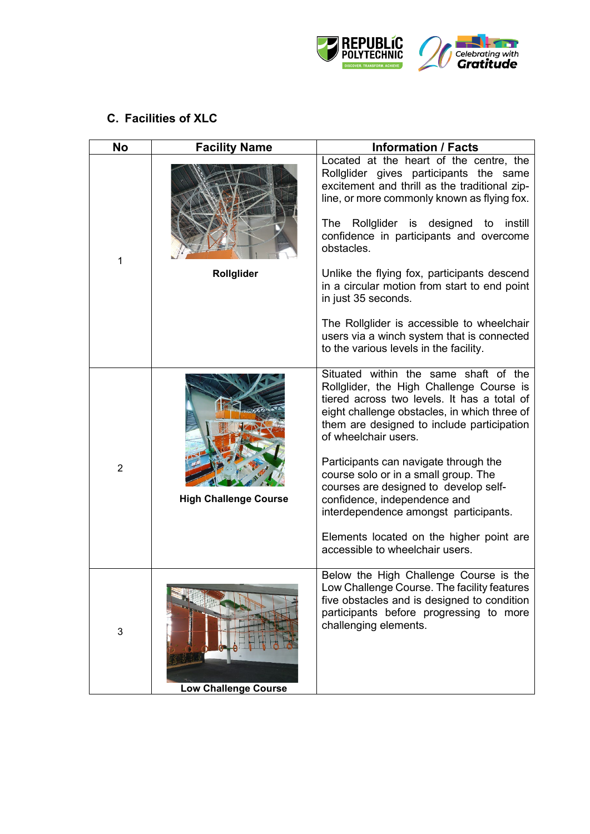

# **C. Facilities of XLC**

| <b>No</b>      | <b>Facility Name</b>         | <b>Information / Facts</b>                                                                                                                                                                                                                             |
|----------------|------------------------------|--------------------------------------------------------------------------------------------------------------------------------------------------------------------------------------------------------------------------------------------------------|
| 1              |                              | Located at the heart of the centre, the<br>Rollglider gives participants the same<br>excitement and thrill as the traditional zip-<br>line, or more commonly known as flying fox.                                                                      |
|                |                              | The Rollglider is designed to<br>instill<br>confidence in participants and overcome<br>obstacles.                                                                                                                                                      |
|                | Rollglider                   | Unlike the flying fox, participants descend<br>in a circular motion from start to end point<br>in just 35 seconds.                                                                                                                                     |
|                |                              | The Rollglider is accessible to wheelchair<br>users via a winch system that is connected<br>to the various levels in the facility.                                                                                                                     |
| $\overline{2}$ |                              | Situated within the same shaft of the<br>Rollglider, the High Challenge Course is<br>tiered across two levels. It has a total of<br>eight challenge obstacles, in which three of<br>them are designed to include participation<br>of wheelchair users. |
|                | <b>High Challenge Course</b> | Participants can navigate through the<br>course solo or in a small group. The<br>courses are designed to develop self-<br>confidence, independence and<br>interdependence amongst participants.                                                        |
|                |                              | Elements located on the higher point are<br>accessible to wheelchair users.                                                                                                                                                                            |
| 3              |                              | Below the High Challenge Course is the<br>Low Challenge Course. The facility features<br>five obstacles and is designed to condition<br>participants before progressing to more<br>challenging elements.                                               |
|                | <b>Low Challenge Course</b>  |                                                                                                                                                                                                                                                        |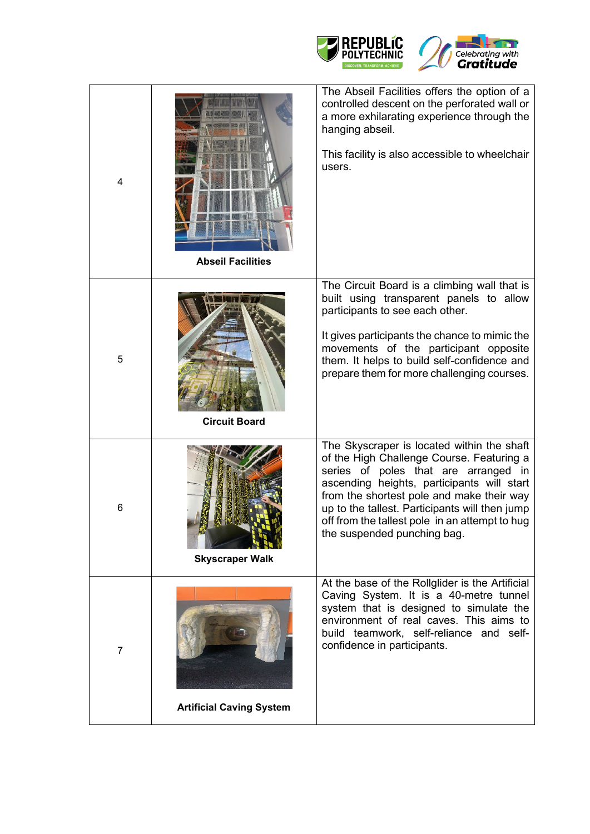



| 4              | <b>Abseil Facilities</b>        | The Abseil Facilities offers the option of a<br>controlled descent on the perforated wall or<br>a more exhilarating experience through the<br>hanging abseil.<br>This facility is also accessible to wheelchair<br>users.                                                                                                                                     |
|----------------|---------------------------------|---------------------------------------------------------------------------------------------------------------------------------------------------------------------------------------------------------------------------------------------------------------------------------------------------------------------------------------------------------------|
| 5              | <b>Circuit Board</b>            | The Circuit Board is a climbing wall that is<br>built using transparent panels to allow<br>participants to see each other.<br>It gives participants the chance to mimic the<br>movements of the participant opposite<br>them. It helps to build self-confidence and<br>prepare them for more challenging courses.                                             |
| 6              | <b>Skyscraper Walk</b>          | The Skyscraper is located within the shaft<br>of the High Challenge Course. Featuring a<br>series of poles that are arranged in<br>ascending heights, participants will start<br>from the shortest pole and make their way<br>up to the tallest. Participants will then jump<br>off from the tallest pole in an attempt to hug<br>the suspended punching bag. |
| $\overline{7}$ | <b>Artificial Caving System</b> | At the base of the Rollglider is the Artificial<br>Caving System. It is a 40-metre tunnel<br>system that is designed to simulate the<br>environment of real caves. This aims to<br>build teamwork, self-reliance and self-<br>confidence in participants.                                                                                                     |